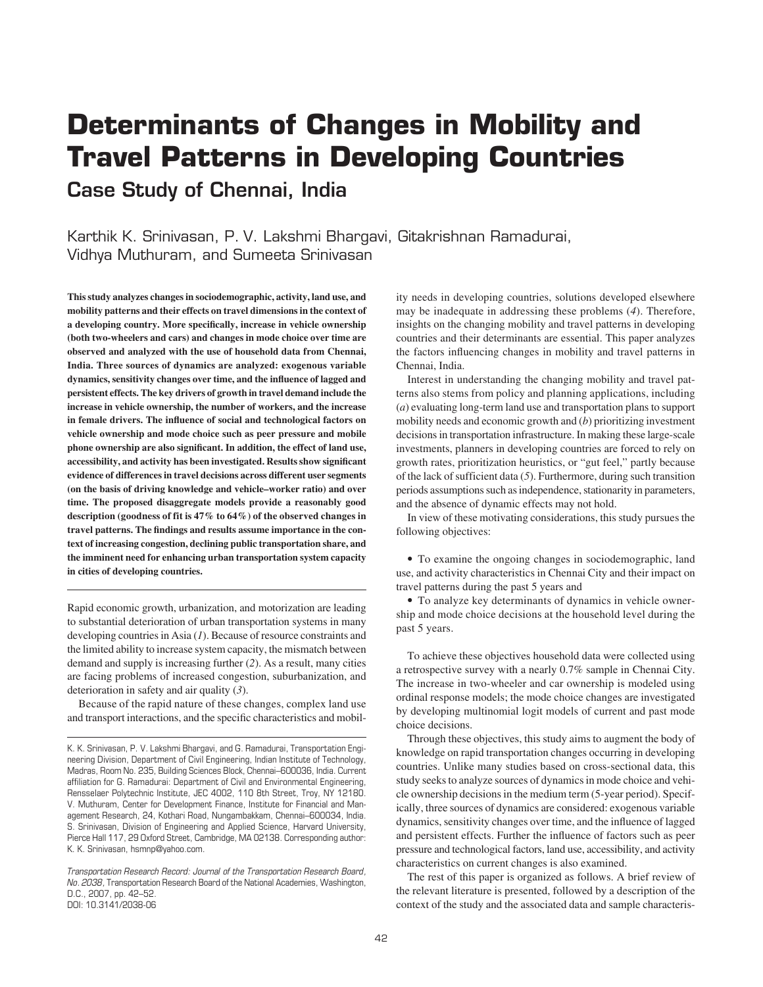# **Determinants of Changes in Mobility and Travel Patterns in Developing Countries** Case Study of Chennai, India

Karthik K. Srinivasan, P. V. Lakshmi Bhargavi, Gitakrishnan Ramadurai, Vidhya Muthuram, and Sumeeta Srinivasan

**This study analyzes changes in sociodemographic, activity, land use, and mobility patterns and their effects on travel dimensions in the context of a developing country. More specifically, increase in vehicle ownership (both two-wheelers and cars) and changes in mode choice over time are observed and analyzed with the use of household data from Chennai, India. Three sources of dynamics are analyzed: exogenous variable dynamics, sensitivity changes over time, and the influence of lagged and persistent effects. The key drivers of growth in travel demand include the increase in vehicle ownership, the number of workers, and the increase in female drivers. The influence of social and technological factors on vehicle ownership and mode choice such as peer pressure and mobile phone ownership are also significant. In addition, the effect of land use, accessibility, and activity has been investigated. Results show significant evidence of differences in travel decisions across different user segments (on the basis of driving knowledge and vehicle–worker ratio) and over time. The proposed disaggregate models provide a reasonably good description (goodness of fit is 47% to 64%) of the observed changes in travel patterns. The findings and results assume importance in the context of increasing congestion, declining public transportation share, and the imminent need for enhancing urban transportation system capacity in cities of developing countries.**

Rapid economic growth, urbanization, and motorization are leading to substantial deterioration of urban transportation systems in many developing countries in Asia (*1*). Because of resource constraints and the limited ability to increase system capacity, the mismatch between demand and supply is increasing further (*2*). As a result, many cities are facing problems of increased congestion, suburbanization, and deterioration in safety and air quality (*3*).

Because of the rapid nature of these changes, complex land use and transport interactions, and the specific characteristics and mobil-

*Transportation Research Record: Journal of the Transportation Research Board, No. 2038,* Transportation Research Board of the National Academies, Washington, D.C., 2007, pp. 42–52. DOI: 10.3141/2038-06

ity needs in developing countries, solutions developed elsewhere may be inadequate in addressing these problems (*4*). Therefore, insights on the changing mobility and travel patterns in developing countries and their determinants are essential. This paper analyzes the factors influencing changes in mobility and travel patterns in Chennai, India.

Interest in understanding the changing mobility and travel patterns also stems from policy and planning applications, including (*a*) evaluating long-term land use and transportation plans to support mobility needs and economic growth and (*b*) prioritizing investment decisions in transportation infrastructure. In making these large-scale investments, planners in developing countries are forced to rely on growth rates, prioritization heuristics, or "gut feel," partly because of the lack of sufficient data (*5*). Furthermore, during such transition periods assumptions such as independence, stationarity in parameters, and the absence of dynamic effects may not hold.

In view of these motivating considerations, this study pursues the following objectives:

• To examine the ongoing changes in sociodemographic, land use, and activity characteristics in Chennai City and their impact on travel patterns during the past 5 years and

• To analyze key determinants of dynamics in vehicle ownership and mode choice decisions at the household level during the past 5 years.

To achieve these objectives household data were collected using a retrospective survey with a nearly 0.7% sample in Chennai City. The increase in two-wheeler and car ownership is modeled using ordinal response models; the mode choice changes are investigated by developing multinomial logit models of current and past mode choice decisions.

Through these objectives, this study aims to augment the body of knowledge on rapid transportation changes occurring in developing countries. Unlike many studies based on cross-sectional data, this study seeks to analyze sources of dynamics in mode choice and vehicle ownership decisions in the medium term (5-year period). Specifically, three sources of dynamics are considered: exogenous variable dynamics, sensitivity changes over time, and the influence of lagged and persistent effects. Further the influence of factors such as peer pressure and technological factors, land use, accessibility, and activity characteristics on current changes is also examined.

The rest of this paper is organized as follows. A brief review of the relevant literature is presented, followed by a description of the context of the study and the associated data and sample characteris-

K. K. Srinivasan, P. V. Lakshmi Bhargavi, and G. Ramadurai, Transportation Engineering Division, Department of Civil Engineering, Indian Institute of Technology, Madras, Room No. 235, Building Sciences Block, Chennai–600036, India. Current affiliation for G. Ramadurai: Department of Civil and Environmental Engineering, Rensselaer Polytechnic Institute, JEC 4002, 110 8th Street, Troy, NY 12180. V. Muthuram, Center for Development Finance, Institute for Financial and Management Research, 24, Kothari Road, Nungambakkam, Chennai–600034, India. S. Srinivasan, Division of Engineering and Applied Science, Harvard University, Pierce Hall 117, 29 Oxford Street, Cambridge, MA 02138. Corresponding author: K. K. Srinivasan, hsmnp@yahoo.com.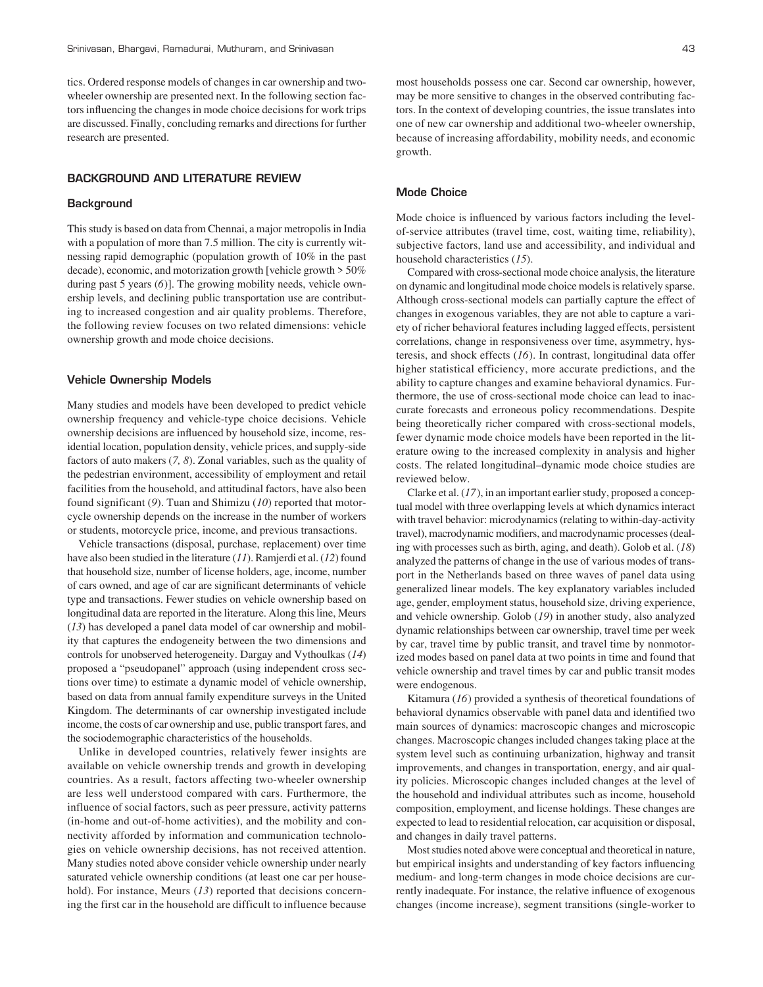tics. Ordered response models of changes in car ownership and twowheeler ownership are presented next. In the following section factors influencing the changes in mode choice decisions for work trips are discussed. Finally, concluding remarks and directions for further research are presented.

# BACKGROUND AND LITERATURE REVIEW

## **Background**

This study is based on data from Chennai, a major metropolis in India with a population of more than 7.5 million. The city is currently witnessing rapid demographic (population growth of 10% in the past decade), economic, and motorization growth [vehicle growth  $> 50\%$ during past 5 years (*6*)]. The growing mobility needs, vehicle ownership levels, and declining public transportation use are contributing to increased congestion and air quality problems. Therefore, the following review focuses on two related dimensions: vehicle ownership growth and mode choice decisions.

#### Vehicle Ownership Models

Many studies and models have been developed to predict vehicle ownership frequency and vehicle-type choice decisions. Vehicle ownership decisions are influenced by household size, income, residential location, population density, vehicle prices, and supply-side factors of auto makers (*7, 8*). Zonal variables, such as the quality of the pedestrian environment, accessibility of employment and retail facilities from the household, and attitudinal factors, have also been found significant (*9*). Tuan and Shimizu (*10*) reported that motorcycle ownership depends on the increase in the number of workers or students, motorcycle price, income, and previous transactions.

Vehicle transactions (disposal, purchase, replacement) over time have also been studied in the literature (*11*). Ramjerdi et al. (*12*) found that household size, number of license holders, age, income, number of cars owned, and age of car are significant determinants of vehicle type and transactions. Fewer studies on vehicle ownership based on longitudinal data are reported in the literature. Along this line, Meurs (*13*) has developed a panel data model of car ownership and mobility that captures the endogeneity between the two dimensions and controls for unobserved heterogeneity. Dargay and Vythoulkas (*14*) proposed a "pseudopanel" approach (using independent cross sections over time) to estimate a dynamic model of vehicle ownership, based on data from annual family expenditure surveys in the United Kingdom. The determinants of car ownership investigated include income, the costs of car ownership and use, public transport fares, and the sociodemographic characteristics of the households.

Unlike in developed countries, relatively fewer insights are available on vehicle ownership trends and growth in developing countries. As a result, factors affecting two-wheeler ownership are less well understood compared with cars. Furthermore, the influence of social factors, such as peer pressure, activity patterns (in-home and out-of-home activities), and the mobility and connectivity afforded by information and communication technologies on vehicle ownership decisions, has not received attention. Many studies noted above consider vehicle ownership under nearly saturated vehicle ownership conditions (at least one car per household). For instance, Meurs (13) reported that decisions concerning the first car in the household are difficult to influence because

most households possess one car. Second car ownership, however, may be more sensitive to changes in the observed contributing factors. In the context of developing countries, the issue translates into one of new car ownership and additional two-wheeler ownership, because of increasing affordability, mobility needs, and economic growth.

# Mode Choice

Mode choice is influenced by various factors including the levelof-service attributes (travel time, cost, waiting time, reliability), subjective factors, land use and accessibility, and individual and household characteristics (*15*).

Compared with cross-sectional mode choice analysis, the literature on dynamic and longitudinal mode choice models is relatively sparse. Although cross-sectional models can partially capture the effect of changes in exogenous variables, they are not able to capture a variety of richer behavioral features including lagged effects, persistent correlations, change in responsiveness over time, asymmetry, hysteresis, and shock effects (*16*). In contrast, longitudinal data offer higher statistical efficiency, more accurate predictions, and the ability to capture changes and examine behavioral dynamics. Furthermore, the use of cross-sectional mode choice can lead to inaccurate forecasts and erroneous policy recommendations. Despite being theoretically richer compared with cross-sectional models, fewer dynamic mode choice models have been reported in the literature owing to the increased complexity in analysis and higher costs. The related longitudinal–dynamic mode choice studies are reviewed below.

Clarke et al. (*17*), in an important earlier study, proposed a conceptual model with three overlapping levels at which dynamics interact with travel behavior: microdynamics (relating to within-day-activity travel), macrodynamic modifiers, and macrodynamic processes (dealing with processes such as birth, aging, and death). Golob et al. (*18*) analyzed the patterns of change in the use of various modes of transport in the Netherlands based on three waves of panel data using generalized linear models. The key explanatory variables included age, gender, employment status, household size, driving experience, and vehicle ownership. Golob (*19*) in another study, also analyzed dynamic relationships between car ownership, travel time per week by car, travel time by public transit, and travel time by nonmotorized modes based on panel data at two points in time and found that vehicle ownership and travel times by car and public transit modes were endogenous.

Kitamura (*16*) provided a synthesis of theoretical foundations of behavioral dynamics observable with panel data and identified two main sources of dynamics: macroscopic changes and microscopic changes. Macroscopic changes included changes taking place at the system level such as continuing urbanization, highway and transit improvements, and changes in transportation, energy, and air quality policies. Microscopic changes included changes at the level of the household and individual attributes such as income, household composition, employment, and license holdings. These changes are expected to lead to residential relocation, car acquisition or disposal, and changes in daily travel patterns.

Most studies noted above were conceptual and theoretical in nature, but empirical insights and understanding of key factors influencing medium- and long-term changes in mode choice decisions are currently inadequate. For instance, the relative influence of exogenous changes (income increase), segment transitions (single-worker to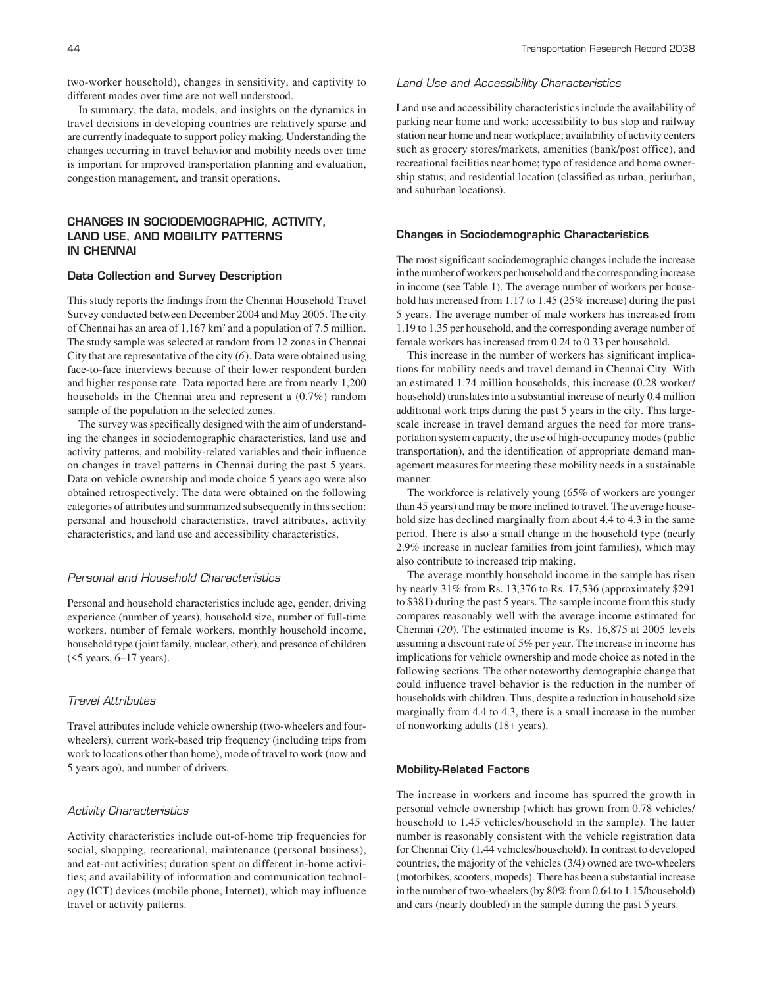two-worker household), changes in sensitivity, and captivity to different modes over time are not well understood.

In summary, the data, models, and insights on the dynamics in travel decisions in developing countries are relatively sparse and are currently inadequate to support policy making. Understanding the changes occurring in travel behavior and mobility needs over time is important for improved transportation planning and evaluation, congestion management, and transit operations.

# CHANGES IN SOCIODEMOGRAPHIC, ACTIVITY, LAND USE, AND MOBILITY PATTERNS IN CHENNAI

#### Data Collection and Survey Description

This study reports the findings from the Chennai Household Travel Survey conducted between December 2004 and May 2005. The city of Chennai has an area of 1,167 km<sup>2</sup> and a population of 7.5 million. The study sample was selected at random from 12 zones in Chennai City that are representative of the city (*6*). Data were obtained using face-to-face interviews because of their lower respondent burden and higher response rate. Data reported here are from nearly 1,200 households in the Chennai area and represent a (0.7%) random sample of the population in the selected zones.

The survey was specifically designed with the aim of understanding the changes in sociodemographic characteristics, land use and activity patterns, and mobility-related variables and their influence on changes in travel patterns in Chennai during the past 5 years. Data on vehicle ownership and mode choice 5 years ago were also obtained retrospectively. The data were obtained on the following categories of attributes and summarized subsequently in this section: personal and household characteristics, travel attributes, activity characteristics, and land use and accessibility characteristics.

#### Personal and Household Characteristics

Personal and household characteristics include age, gender, driving experience (number of years), household size, number of full-time workers, number of female workers, monthly household income, household type (joint family, nuclear, other), and presence of children (<5 years, 6–17 years).

## Travel Attributes

Travel attributes include vehicle ownership (two-wheelers and fourwheelers), current work-based trip frequency (including trips from work to locations other than home), mode of travel to work (now and 5 years ago), and number of drivers.

#### Activity Characteristics

Activity characteristics include out-of-home trip frequencies for social, shopping, recreational, maintenance (personal business), and eat-out activities; duration spent on different in-home activities; and availability of information and communication technology (ICT) devices (mobile phone, Internet), which may influence travel or activity patterns.

### Land Use and Accessibility Characteristics

Land use and accessibility characteristics include the availability of parking near home and work; accessibility to bus stop and railway station near home and near workplace; availability of activity centers such as grocery stores/markets, amenities (bank/post office), and recreational facilities near home; type of residence and home ownership status; and residential location (classified as urban, periurban, and suburban locations).

#### Changes in Sociodemographic Characteristics

The most significant sociodemographic changes include the increase in the number of workers per household and the corresponding increase in income (see Table 1). The average number of workers per household has increased from 1.17 to 1.45 (25% increase) during the past 5 years. The average number of male workers has increased from 1.19 to 1.35 per household, and the corresponding average number of female workers has increased from 0.24 to 0.33 per household.

This increase in the number of workers has significant implications for mobility needs and travel demand in Chennai City. With an estimated 1.74 million households, this increase (0.28 worker/ household) translates into a substantial increase of nearly 0.4 million additional work trips during the past 5 years in the city. This largescale increase in travel demand argues the need for more transportation system capacity, the use of high-occupancy modes (public transportation), and the identification of appropriate demand management measures for meeting these mobility needs in a sustainable manner.

The workforce is relatively young (65% of workers are younger than 45 years) and may be more inclined to travel. The average household size has declined marginally from about 4.4 to 4.3 in the same period. There is also a small change in the household type (nearly 2.9% increase in nuclear families from joint families), which may also contribute to increased trip making.

The average monthly household income in the sample has risen by nearly 31% from Rs. 13,376 to Rs. 17,536 (approximately \$291 to \$381) during the past 5 years. The sample income from this study compares reasonably well with the average income estimated for Chennai (*20*). The estimated income is Rs. 16,875 at 2005 levels assuming a discount rate of 5% per year. The increase in income has implications for vehicle ownership and mode choice as noted in the following sections. The other noteworthy demographic change that could influence travel behavior is the reduction in the number of households with children. Thus, despite a reduction in household size marginally from 4.4 to 4.3, there is a small increase in the number of nonworking adults (18+ years).

#### Mobility-Related Factors

The increase in workers and income has spurred the growth in personal vehicle ownership (which has grown from 0.78 vehicles/ household to 1.45 vehicles/household in the sample). The latter number is reasonably consistent with the vehicle registration data for Chennai City (1.44 vehicles/household). In contrast to developed countries, the majority of the vehicles (3/4) owned are two-wheelers (motorbikes, scooters, mopeds). There has been a substantial increase in the number of two-wheelers (by 80% from 0.64 to 1.15/household) and cars (nearly doubled) in the sample during the past 5 years.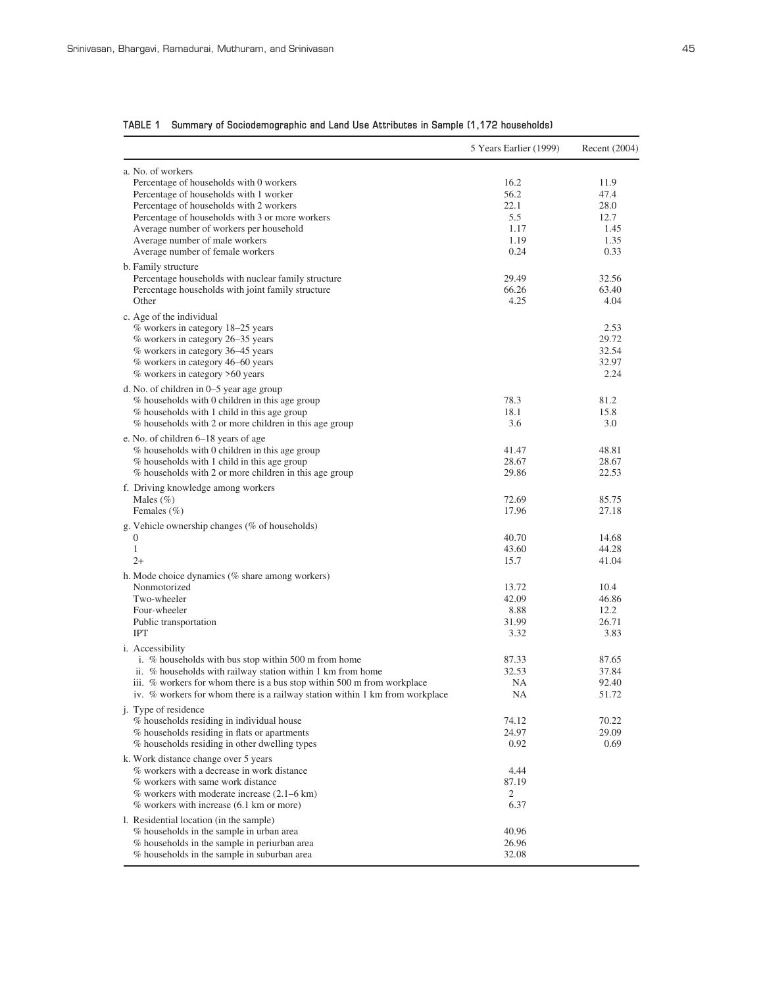|                                                                              | 5 Years Earlier (1999) | Recent (2004) |
|------------------------------------------------------------------------------|------------------------|---------------|
| a. No. of workers                                                            |                        |               |
| Percentage of households with 0 workers                                      | 16.2                   | 11.9          |
| Percentage of households with 1 worker                                       | 56.2                   | 47.4          |
| Percentage of households with 2 workers                                      | 22.1                   | 28.0          |
| Percentage of households with 3 or more workers                              | 5.5                    | 12.7          |
| Average number of workers per household                                      | 1.17                   | 1.45          |
| Average number of male workers                                               | 1.19                   | 1.35          |
| Average number of female workers                                             | 0.24                   | 0.33          |
| b. Family structure                                                          |                        |               |
| Percentage households with nuclear family structure                          | 29.49                  | 32.56         |
| Percentage households with joint family structure                            | 66.26                  | 63.40         |
| Other                                                                        | 4.25                   | 4.04          |
|                                                                              |                        |               |
| c. Age of the individual                                                     |                        |               |
| % workers in category 18-25 years                                            |                        | 2.53          |
| % workers in category 26–35 years                                            |                        | 29.72         |
| % workers in category 36–45 years                                            |                        | 32.54         |
| % workers in category 46–60 years                                            |                        | 32.97         |
| % workers in category >60 years                                              |                        | 2.24          |
| d. No. of children in 0–5 year age group                                     |                        |               |
| % households with 0 children in this age group                               | 78.3                   | 81.2          |
| % households with 1 child in this age group                                  | 18.1                   | 15.8          |
| % households with 2 or more children in this age group                       | 3.6                    | 3.0           |
|                                                                              |                        |               |
| e. No. of children 6–18 years of age                                         |                        |               |
| % households with 0 children in this age group                               | 41.47                  | 48.81         |
| % households with 1 child in this age group                                  | 28.67                  | 28.67         |
| % households with 2 or more children in this age group                       | 29.86                  | 22.53         |
| f. Driving knowledge among workers                                           |                        |               |
| Males $(\%)$                                                                 | 72.69                  | 85.75         |
| Females $(\% )$                                                              | 17.96                  | 27.18         |
|                                                                              |                        |               |
| g. Vehicle ownership changes (% of households)                               |                        |               |
| $\boldsymbol{0}$                                                             | 40.70                  | 14.68         |
| $\mathbf{1}$                                                                 | 43.60                  | 44.28         |
| $2+$                                                                         | 15.7                   | 41.04         |
| h. Mode choice dynamics (% share among workers)                              |                        |               |
| Nonmotorized                                                                 | 13.72                  | 10.4          |
| Two-wheeler                                                                  | 42.09                  | 46.86         |
| Four-wheeler                                                                 | 8.88                   | 12.2          |
| Public transportation                                                        | 31.99                  | 26.71         |
| <b>IPT</b>                                                                   | 3.32                   | 3.83          |
| <i>i.</i> Accessibility                                                      |                        |               |
| i. % households with bus stop within 500 m from home                         | 87.33                  | 87.65         |
| ii. % households with railway station within 1 km from home                  |                        |               |
|                                                                              | 32.53                  | 37.84         |
| iii. % workers for whom there is a bus stop within 500 m from workplace      | NA                     | 92.40         |
| iv. % workers for whom there is a railway station within 1 km from workplace | ΝA                     | 51.72         |
| j. Type of residence                                                         |                        |               |
| % households residing in individual house                                    | 74.12                  | 70.22         |
| % households residing in flats or apartments                                 | 24.97                  | 29.09         |
| % households residing in other dwelling types                                | 0.92                   | 0.69          |
| k. Work distance change over 5 years                                         |                        |               |
| % workers with a decrease in work distance                                   | 4.44                   |               |
| % workers with same work distance                                            | 87.19                  |               |
|                                                                              |                        |               |
| $\%$ workers with moderate increase (2.1–6 km)                               | 2                      |               |
| $\%$ workers with increase (6.1 km or more)                                  | 6.37                   |               |
| 1. Residential location (in the sample)                                      |                        |               |
| % households in the sample in urban area                                     | 40.96                  |               |
| % households in the sample in periurban area                                 | 26.96                  |               |

% households in the sample in suburban area 32.08

# **TABLE 1 Summary of Sociodemographic and Land Use Attributes in Sample (1,172 households)**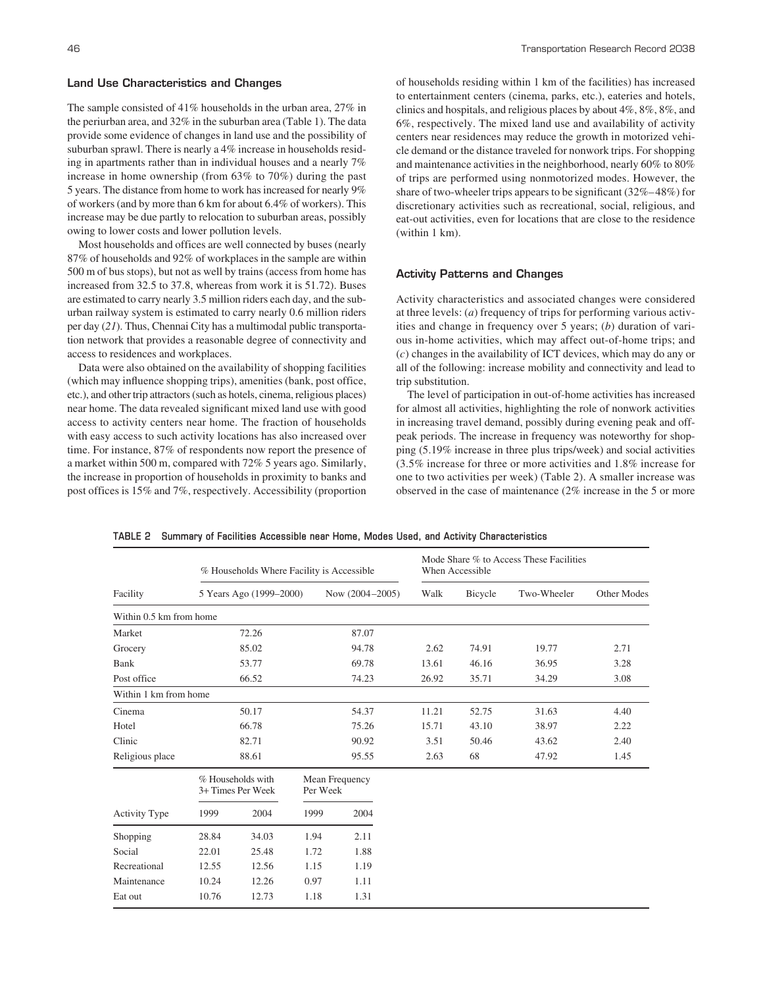## Land Use Characteristics and Changes

The sample consisted of 41% households in the urban area, 27% in the periurban area, and 32% in the suburban area (Table 1). The data provide some evidence of changes in land use and the possibility of suburban sprawl. There is nearly a 4% increase in households residing in apartments rather than in individual houses and a nearly 7% increase in home ownership (from 63% to 70%) during the past 5 years. The distance from home to work has increased for nearly 9% of workers (and by more than 6 km for about 6.4% of workers). This increase may be due partly to relocation to suburban areas, possibly owing to lower costs and lower pollution levels.

Most households and offices are well connected by buses (nearly 87% of households and 92% of workplaces in the sample are within 500 m of bus stops), but not as well by trains (access from home has increased from 32.5 to 37.8, whereas from work it is 51.72). Buses are estimated to carry nearly 3.5 million riders each day, and the suburban railway system is estimated to carry nearly 0.6 million riders per day (*21*). Thus, Chennai City has a multimodal public transportation network that provides a reasonable degree of connectivity and access to residences and workplaces.

Data were also obtained on the availability of shopping facilities (which may influence shopping trips), amenities (bank, post office, etc.), and other trip attractors (such as hotels, cinema, religious places) near home. The data revealed significant mixed land use with good access to activity centers near home. The fraction of households with easy access to such activity locations has also increased over time. For instance, 87% of respondents now report the presence of a market within 500 m, compared with 72% 5 years ago. Similarly, the increase in proportion of households in proximity to banks and post offices is 15% and 7%, respectively. Accessibility (proportion of households residing within 1 km of the facilities) has increased to entertainment centers (cinema, parks, etc.), eateries and hotels, clinics and hospitals, and religious places by about 4%, 8%, 8%, and 6%, respectively. The mixed land use and availability of activity centers near residences may reduce the growth in motorized vehicle demand or the distance traveled for nonwork trips. For shopping and maintenance activities in the neighborhood, nearly 60% to 80% of trips are performed using nonmotorized modes. However, the share of two-wheeler trips appears to be significant (32%–48%) for discretionary activities such as recreational, social, religious, and eat-out activities, even for locations that are close to the residence (within 1 km).

## Activity Patterns and Changes

Activity characteristics and associated changes were considered at three levels: (*a*) frequency of trips for performing various activities and change in frequency over 5 years; (*b*) duration of various in-home activities, which may affect out-of-home trips; and (*c*) changes in the availability of ICT devices, which may do any or all of the following: increase mobility and connectivity and lead to trip substitution.

The level of participation in out-of-home activities has increased for almost all activities, highlighting the role of nonwork activities in increasing travel demand, possibly during evening peak and offpeak periods. The increase in frequency was noteworthy for shopping (5.19% increase in three plus trips/week) and social activities (3.5% increase for three or more activities and 1.8% increase for one to two activities per week) (Table 2). A smaller increase was observed in the case of maintenance (2% increase in the 5 or more

|                         | % Households Where Facility is Accessible |       |                     |                | Mode Share % to Access These Facilities<br>When Accessible |         |             |             |  |
|-------------------------|-------------------------------------------|-------|---------------------|----------------|------------------------------------------------------------|---------|-------------|-------------|--|
| Facility                | 5 Years Ago (1999–2000)                   |       | Now $(2004 - 2005)$ |                | Walk                                                       | Bicycle | Two-Wheeler | Other Modes |  |
| Within 0.5 km from home |                                           |       |                     |                |                                                            |         |             |             |  |
| Market                  |                                           | 72.26 |                     | 87.07          |                                                            |         |             |             |  |
| Grocery                 |                                           | 85.02 |                     | 94.78          | 2.62                                                       | 74.91   | 19.77       | 2.71        |  |
| Bank                    |                                           | 53.77 |                     | 69.78          | 13.61                                                      | 46.16   | 36.95       | 3.28        |  |
| Post office             |                                           | 66.52 |                     | 74.23          | 26.92                                                      | 35.71   | 34.29       | 3.08        |  |
| Within 1 km from home   |                                           |       |                     |                |                                                            |         |             |             |  |
| Cinema                  |                                           | 50.17 |                     | 54.37          | 11.21                                                      | 52.75   | 31.63       | 4.40        |  |
| Hotel                   |                                           | 66.78 |                     | 75.26          | 15.71                                                      | 43.10   | 38.97       | 2.22        |  |
| Clinic                  |                                           | 82.71 |                     | 90.92          | 3.51                                                       | 50.46   | 43.62       | 2.40        |  |
| Religious place         |                                           | 88.61 |                     | 95.55          | 2.63                                                       | 68      | 47.92       | 1.45        |  |
|                         | % Households with<br>3+ Times Per Week    |       | Per Week            | Mean Frequency |                                                            |         |             |             |  |
| <b>Activity Type</b>    | 1999                                      | 2004  | 1999                | 2004           |                                                            |         |             |             |  |
| Shopping                | 28.84                                     | 34.03 | 1.94                | 2.11           |                                                            |         |             |             |  |
| Social                  | 22.01                                     | 25.48 | 1.72                | 1.88           |                                                            |         |             |             |  |
| Recreational            | 12.55                                     | 12.56 | 1.15                | 1.19           |                                                            |         |             |             |  |
| Maintenance             | 10.24                                     | 12.26 | 0.97                | 1.11           |                                                            |         |             |             |  |
| Eat out                 | 10.76                                     | 12.73 | 1.18                | 1.31           |                                                            |         |             |             |  |

**TABLE 2 Summary of Facilities Accessible near Home, Modes Used, and Activity Characteristics**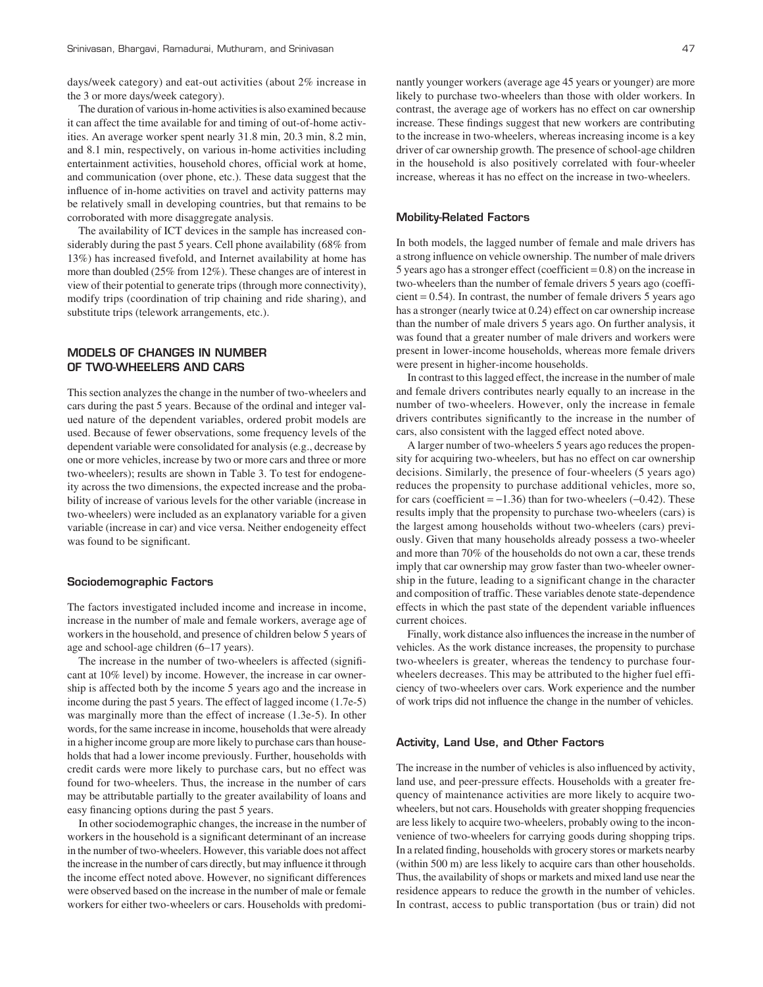days/week category) and eat-out activities (about 2% increase in the 3 or more days/week category).

The duration of various in-home activities is also examined because it can affect the time available for and timing of out-of-home activities. An average worker spent nearly 31.8 min, 20.3 min, 8.2 min, and 8.1 min, respectively, on various in-home activities including entertainment activities, household chores, official work at home, and communication (over phone, etc.). These data suggest that the influence of in-home activities on travel and activity patterns may be relatively small in developing countries, but that remains to be corroborated with more disaggregate analysis.

The availability of ICT devices in the sample has increased considerably during the past 5 years. Cell phone availability (68% from 13%) has increased fivefold, and Internet availability at home has more than doubled (25% from 12%). These changes are of interest in view of their potential to generate trips (through more connectivity), modify trips (coordination of trip chaining and ride sharing), and substitute trips (telework arrangements, etc.).

## MODELS OF CHANGES IN NUMBER OF TWO-WHEELERS AND CARS

This section analyzes the change in the number of two-wheelers and cars during the past 5 years. Because of the ordinal and integer valued nature of the dependent variables, ordered probit models are used. Because of fewer observations, some frequency levels of the dependent variable were consolidated for analysis (e.g., decrease by one or more vehicles, increase by two or more cars and three or more two-wheelers); results are shown in Table 3. To test for endogeneity across the two dimensions, the expected increase and the probability of increase of various levels for the other variable (increase in two-wheelers) were included as an explanatory variable for a given variable (increase in car) and vice versa. Neither endogeneity effect was found to be significant.

### Sociodemographic Factors

The factors investigated included income and increase in income, increase in the number of male and female workers, average age of workers in the household, and presence of children below 5 years of age and school-age children (6–17 years).

The increase in the number of two-wheelers is affected (significant at 10% level) by income. However, the increase in car ownership is affected both by the income 5 years ago and the increase in income during the past 5 years. The effect of lagged income (1.7e-5) was marginally more than the effect of increase (1.3e-5). In other words, for the same increase in income, households that were already in a higher income group are more likely to purchase cars than households that had a lower income previously. Further, households with credit cards were more likely to purchase cars, but no effect was found for two-wheelers. Thus, the increase in the number of cars may be attributable partially to the greater availability of loans and easy financing options during the past 5 years.

In other sociodemographic changes, the increase in the number of workers in the household is a significant determinant of an increase in the number of two-wheelers. However, this variable does not affect the increase in the number of cars directly, but may influence it through the income effect noted above. However, no significant differences were observed based on the increase in the number of male or female workers for either two-wheelers or cars. Households with predomi-

nantly younger workers (average age 45 years or younger) are more likely to purchase two-wheelers than those with older workers. In contrast, the average age of workers has no effect on car ownership increase. These findings suggest that new workers are contributing to the increase in two-wheelers, whereas increasing income is a key driver of car ownership growth. The presence of school-age children in the household is also positively correlated with four-wheeler increase, whereas it has no effect on the increase in two-wheelers.

## Mobility-Related Factors

In both models, the lagged number of female and male drivers has a strong influence on vehicle ownership. The number of male drivers 5 years ago has a stronger effect (coefficient = 0.8) on the increase in two-wheelers than the number of female drivers 5 years ago (coeffi $cient = 0.54$ ). In contrast, the number of female drivers 5 years ago has a stronger (nearly twice at 0.24) effect on car ownership increase than the number of male drivers 5 years ago. On further analysis, it was found that a greater number of male drivers and workers were present in lower-income households, whereas more female drivers were present in higher-income households.

In contrast to this lagged effect, the increase in the number of male and female drivers contributes nearly equally to an increase in the number of two-wheelers. However, only the increase in female drivers contributes significantly to the increase in the number of cars, also consistent with the lagged effect noted above.

A larger number of two-wheelers 5 years ago reduces the propensity for acquiring two-wheelers, but has no effect on car ownership decisions. Similarly, the presence of four-wheelers (5 years ago) reduces the propensity to purchase additional vehicles, more so, for cars (coefficient =  $-1.36$ ) than for two-wheelers ( $-0.42$ ). These results imply that the propensity to purchase two-wheelers (cars) is the largest among households without two-wheelers (cars) previously. Given that many households already possess a two-wheeler and more than 70% of the households do not own a car, these trends imply that car ownership may grow faster than two-wheeler ownership in the future, leading to a significant change in the character and composition of traffic. These variables denote state-dependence effects in which the past state of the dependent variable influences current choices.

Finally, work distance also influences the increase in the number of vehicles. As the work distance increases, the propensity to purchase two-wheelers is greater, whereas the tendency to purchase fourwheelers decreases. This may be attributed to the higher fuel efficiency of two-wheelers over cars. Work experience and the number of work trips did not influence the change in the number of vehicles.

#### Activity, Land Use, and Other Factors

The increase in the number of vehicles is also influenced by activity, land use, and peer-pressure effects. Households with a greater frequency of maintenance activities are more likely to acquire twowheelers, but not cars. Households with greater shopping frequencies are less likely to acquire two-wheelers, probably owing to the inconvenience of two-wheelers for carrying goods during shopping trips. In a related finding, households with grocery stores or markets nearby (within 500 m) are less likely to acquire cars than other households. Thus, the availability of shops or markets and mixed land use near the residence appears to reduce the growth in the number of vehicles. In contrast, access to public transportation (bus or train) did not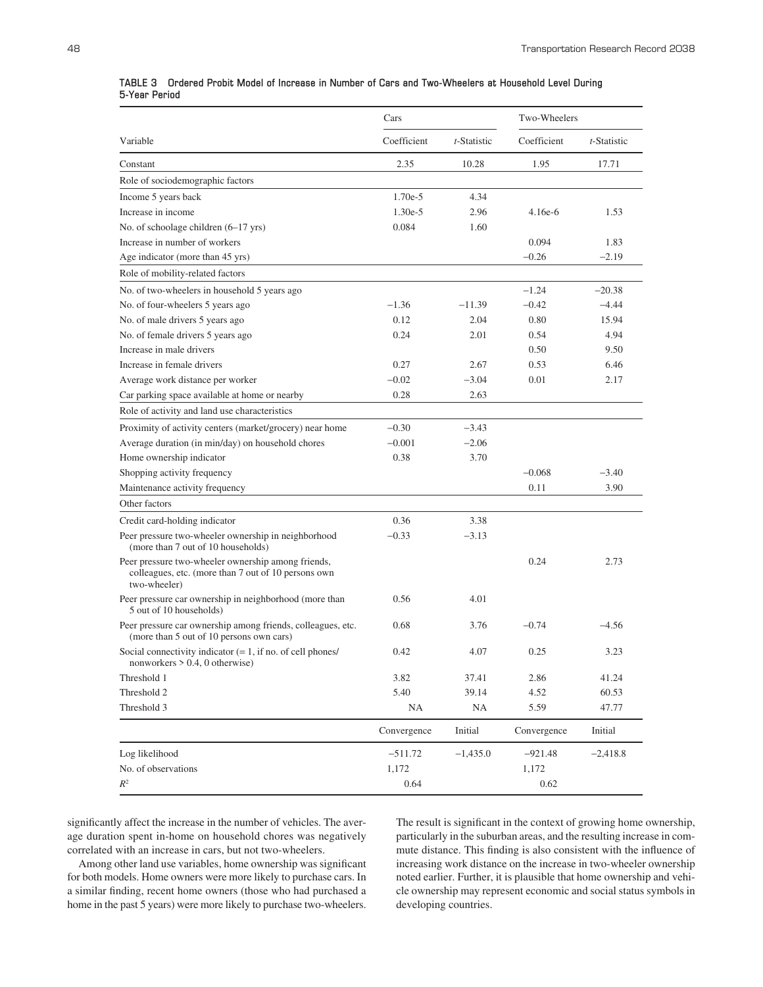|                                                                                                                           | Cars        |             | Two-Wheelers |             |
|---------------------------------------------------------------------------------------------------------------------------|-------------|-------------|--------------|-------------|
| Variable                                                                                                                  | Coefficient | t-Statistic | Coefficient  | t-Statistic |
| Constant                                                                                                                  | 2.35        | 10.28       | 1.95         | 17.71       |
| Role of sociodemographic factors                                                                                          |             |             |              |             |
| Income 5 years back                                                                                                       | 1.70e-5     | 4.34        |              |             |
| Increase in income                                                                                                        | $1.30e-5$   | 2.96        | $4.16e-6$    | 1.53        |
| No. of schoolage children $(6-17 \text{ yrs})$                                                                            | 0.084       | 1.60        |              |             |
| Increase in number of workers                                                                                             |             |             | 0.094        | 1.83        |
| Age indicator (more than 45 yrs)                                                                                          |             |             | $-0.26$      | $-2.19$     |
| Role of mobility-related factors                                                                                          |             |             |              |             |
| No. of two-wheelers in household 5 years ago                                                                              |             |             | $-1.24$      | $-20.38$    |
| No. of four-wheelers 5 years ago                                                                                          | $-1.36$     | $-11.39$    | $-0.42$      | $-4.44$     |
| No. of male drivers 5 years ago                                                                                           | 0.12        | 2.04        | 0.80         | 15.94       |
| No. of female drivers 5 years ago                                                                                         | 0.24        | 2.01        | 0.54         | 4.94        |
| Increase in male drivers                                                                                                  |             |             | 0.50         | 9.50        |
| Increase in female drivers                                                                                                | 0.27        | 2.67        | 0.53         | 6.46        |
| Average work distance per worker                                                                                          | $-0.02$     | $-3.04$     | 0.01         | 2.17        |
| Car parking space available at home or nearby                                                                             | 0.28        | 2.63        |              |             |
| Role of activity and land use characteristics                                                                             |             |             |              |             |
| Proximity of activity centers (market/grocery) near home                                                                  | $-0.30$     | $-3.43$     |              |             |
| Average duration (in min/day) on household chores                                                                         | $-0.001$    | $-2.06$     |              |             |
| Home ownership indicator                                                                                                  | 0.38        | 3.70        |              |             |
| Shopping activity frequency                                                                                               |             |             | $-0.068$     | $-3.40$     |
| Maintenance activity frequency                                                                                            |             |             | 0.11         | 3.90        |
| Other factors                                                                                                             |             |             |              |             |
| Credit card-holding indicator                                                                                             | 0.36        | 3.38        |              |             |
| Peer pressure two-wheeler ownership in neighborhood<br>(more than 7 out of 10 households)                                 | $-0.33$     | $-3.13$     |              |             |
| Peer pressure two-wheeler ownership among friends,<br>colleagues, etc. (more than 7 out of 10 persons own<br>two-wheeler) |             |             | 0.24         | 2.73        |
| Peer pressure car ownership in neighborhood (more than<br>5 out of 10 households)                                         | 0.56        | 4.01        |              |             |
| Peer pressure car ownership among friends, colleagues, etc.<br>(more than 5 out of 10 persons own cars)                   | 0.68        | 3.76        | $-0.74$      | $-4.56$     |
| Social connectivity indicator $(= 1, if no. of cell phones/$<br>nonworkers $> 0.4$ , 0 otherwise)                         | 0.42        | 4.07        | 0.25         | 3.23        |
| Threshold 1                                                                                                               | 3.82        | 37.41       | 2.86         | 41.24       |
| Threshold 2                                                                                                               | 5.40        | 39.14       | 4.52         | 60.53       |
| Threshold 3                                                                                                               | NА          | NA          | 5.59         | 47.77       |
|                                                                                                                           | Convergence | Initial     | Convergence  | Initial     |
| Log likelihood                                                                                                            | $-511.72$   | $-1,435.0$  | $-921.48$    | $-2,418.8$  |
| No. of observations                                                                                                       | 1,172       |             | 1,172        |             |
| $R^2$                                                                                                                     | 0.64        |             | 0.62         |             |

|               | TABLE 3 Ordered Probit Model of Increase in Number of Cars and Two-Wheelers at Household Level During |  |  |  |  |
|---------------|-------------------------------------------------------------------------------------------------------|--|--|--|--|
| 5-Year Period |                                                                                                       |  |  |  |  |

significantly affect the increase in the number of vehicles. The average duration spent in-home on household chores was negatively correlated with an increase in cars, but not two-wheelers.

Among other land use variables, home ownership was significant for both models. Home owners were more likely to purchase cars. In a similar finding, recent home owners (those who had purchased a home in the past 5 years) were more likely to purchase two-wheelers.

The result is significant in the context of growing home ownership, particularly in the suburban areas, and the resulting increase in commute distance. This finding is also consistent with the influence of increasing work distance on the increase in two-wheeler ownership noted earlier. Further, it is plausible that home ownership and vehicle ownership may represent economic and social status symbols in developing countries.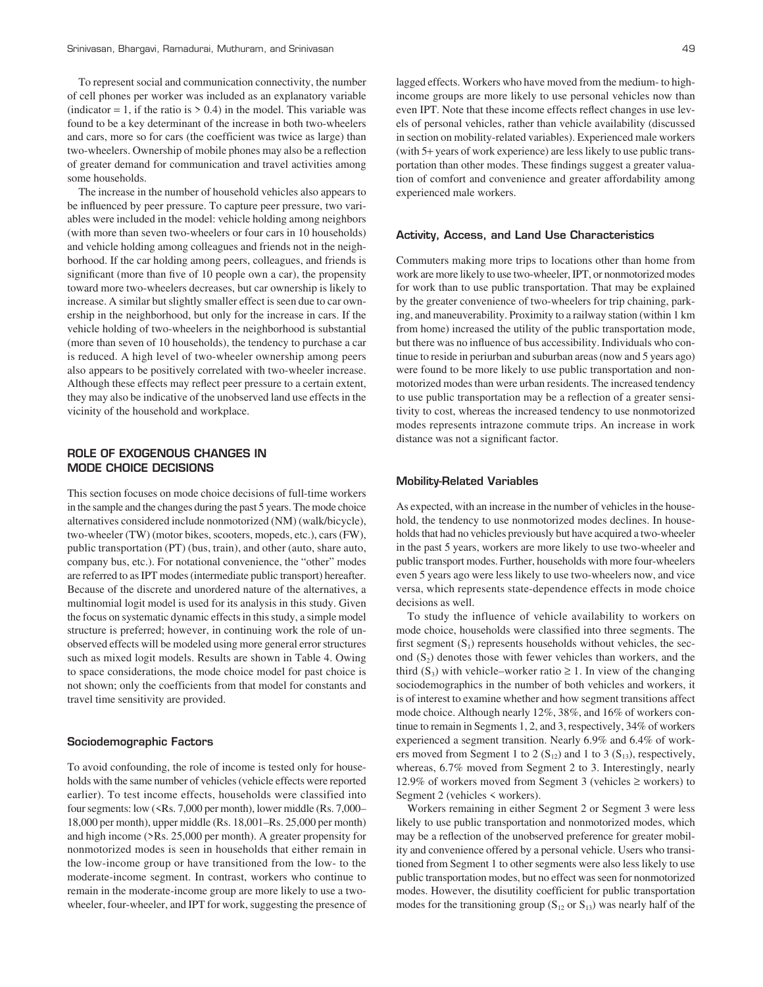To represent social and communication connectivity, the number of cell phones per worker was included as an explanatory variable (indicator = 1, if the ratio is  $> 0.4$ ) in the model. This variable was found to be a key determinant of the increase in both two-wheelers and cars, more so for cars (the coefficient was twice as large) than two-wheelers. Ownership of mobile phones may also be a reflection of greater demand for communication and travel activities among some households.

The increase in the number of household vehicles also appears to be influenced by peer pressure. To capture peer pressure, two variables were included in the model: vehicle holding among neighbors (with more than seven two-wheelers or four cars in 10 households) and vehicle holding among colleagues and friends not in the neighborhood. If the car holding among peers, colleagues, and friends is significant (more than five of 10 people own a car), the propensity toward more two-wheelers decreases, but car ownership is likely to increase. A similar but slightly smaller effect is seen due to car ownership in the neighborhood, but only for the increase in cars. If the vehicle holding of two-wheelers in the neighborhood is substantial (more than seven of 10 households), the tendency to purchase a car is reduced. A high level of two-wheeler ownership among peers also appears to be positively correlated with two-wheeler increase. Although these effects may reflect peer pressure to a certain extent, they may also be indicative of the unobserved land use effects in the vicinity of the household and workplace.

# ROLE OF EXOGENOUS CHANGES IN MODE CHOICE DECISIONS

This section focuses on mode choice decisions of full-time workers in the sample and the changes during the past 5 years. The mode choice alternatives considered include nonmotorized (NM) (walk/bicycle), two-wheeler (TW) (motor bikes, scooters, mopeds, etc.), cars (FW), public transportation (PT) (bus, train), and other (auto, share auto, company bus, etc.). For notational convenience, the "other" modes are referred to as IPT modes (intermediate public transport) hereafter. Because of the discrete and unordered nature of the alternatives, a multinomial logit model is used for its analysis in this study. Given the focus on systematic dynamic effects in this study, a simple model structure is preferred; however, in continuing work the role of unobserved effects will be modeled using more general error structures such as mixed logit models. Results are shown in Table 4. Owing to space considerations, the mode choice model for past choice is not shown; only the coefficients from that model for constants and travel time sensitivity are provided.

#### Sociodemographic Factors

To avoid confounding, the role of income is tested only for households with the same number of vehicles (vehicle effects were reported earlier). To test income effects, households were classified into four segments: low (<Rs. 7,000 per month), lower middle (Rs. 7,000– 18,000 per month), upper middle (Rs. 18,001–Rs. 25,000 per month) and high income (>Rs. 25,000 per month). A greater propensity for nonmotorized modes is seen in households that either remain in the low-income group or have transitioned from the low- to the moderate-income segment. In contrast, workers who continue to remain in the moderate-income group are more likely to use a twowheeler, four-wheeler, and IPT for work, suggesting the presence of

lagged effects. Workers who have moved from the medium- to highincome groups are more likely to use personal vehicles now than even IPT. Note that these income effects reflect changes in use levels of personal vehicles, rather than vehicle availability (discussed in section on mobility-related variables). Experienced male workers (with 5+ years of work experience) are less likely to use public transportation than other modes. These findings suggest a greater valuation of comfort and convenience and greater affordability among experienced male workers.

#### Activity, Access, and Land Use Characteristics

Commuters making more trips to locations other than home from work are more likely to use two-wheeler, IPT, or nonmotorized modes for work than to use public transportation. That may be explained by the greater convenience of two-wheelers for trip chaining, parking, and maneuverability. Proximity to a railway station (within 1 km from home) increased the utility of the public transportation mode, but there was no influence of bus accessibility. Individuals who continue to reside in periurban and suburban areas (now and 5 years ago) were found to be more likely to use public transportation and nonmotorized modes than were urban residents. The increased tendency to use public transportation may be a reflection of a greater sensitivity to cost, whereas the increased tendency to use nonmotorized modes represents intrazone commute trips. An increase in work distance was not a significant factor.

## Mobility-Related Variables

As expected, with an increase in the number of vehicles in the household, the tendency to use nonmotorized modes declines. In households that had no vehicles previously but have acquired a two-wheeler in the past 5 years, workers are more likely to use two-wheeler and public transport modes. Further, households with more four-wheelers even 5 years ago were less likely to use two-wheelers now, and vice versa, which represents state-dependence effects in mode choice decisions as well.

To study the influence of vehicle availability to workers on mode choice, households were classified into three segments. The first segment  $(S_1)$  represents households without vehicles, the second  $(S_2)$  denotes those with fewer vehicles than workers, and the third  $(S_3)$  with vehicle–worker ratio  $\geq 1$ . In view of the changing sociodemographics in the number of both vehicles and workers, it is of interest to examine whether and how segment transitions affect mode choice. Although nearly 12%, 38%, and 16% of workers continue to remain in Segments 1, 2, and 3, respectively, 34% of workers experienced a segment transition. Nearly 6.9% and 6.4% of workers moved from Segment 1 to 2  $(S_{12})$  and 1 to 3  $(S_{13})$ , respectively, whereas, 6.7% moved from Segment 2 to 3. Interestingly, nearly 12.9% of workers moved from Segment 3 (vehicles ≥ workers) to Segment 2 (vehicles < workers).

Workers remaining in either Segment 2 or Segment 3 were less likely to use public transportation and nonmotorized modes, which may be a reflection of the unobserved preference for greater mobility and convenience offered by a personal vehicle. Users who transitioned from Segment 1 to other segments were also less likely to use public transportation modes, but no effect was seen for nonmotorized modes. However, the disutility coefficient for public transportation modes for the transitioning group ( $S_{12}$  or  $S_{13}$ ) was nearly half of the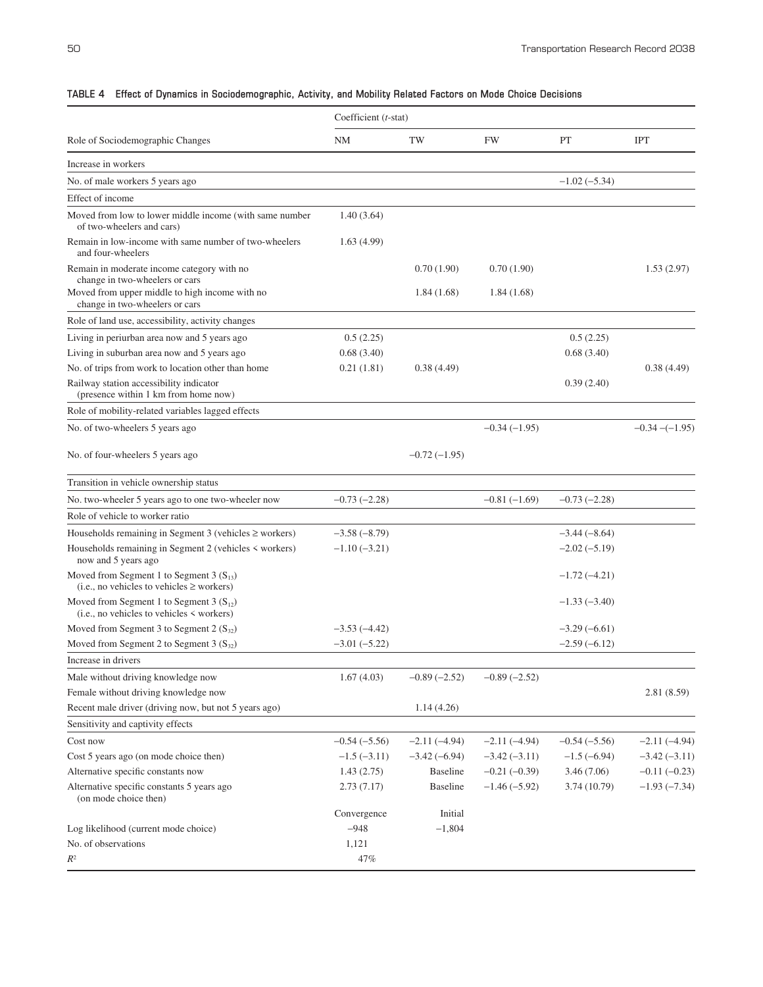|                                                                                                                                                                                                                                      | Coefficient (t-stat)                  |                          |                          |                                       |                   |  |
|--------------------------------------------------------------------------------------------------------------------------------------------------------------------------------------------------------------------------------------|---------------------------------------|--------------------------|--------------------------|---------------------------------------|-------------------|--|
| Role of Sociodemographic Changes                                                                                                                                                                                                     | NM                                    | TW                       | <b>FW</b>                | PT                                    | <b>IPT</b>        |  |
| Increase in workers                                                                                                                                                                                                                  |                                       |                          |                          |                                       |                   |  |
| No. of male workers 5 years ago                                                                                                                                                                                                      |                                       |                          |                          | $-1.02(-5.34)$                        |                   |  |
| Effect of income                                                                                                                                                                                                                     |                                       |                          |                          |                                       |                   |  |
| Moved from low to lower middle income (with same number<br>of two-wheelers and cars)                                                                                                                                                 | 1.40(3.64)                            |                          |                          |                                       |                   |  |
| Remain in low-income with same number of two-wheelers<br>and four-wheelers                                                                                                                                                           | 1.63(4.99)                            |                          |                          |                                       |                   |  |
| Remain in moderate income category with no<br>change in two-wheelers or cars<br>Moved from upper middle to high income with no<br>change in two-wheelers or cars                                                                     |                                       | 0.70(1.90)<br>1.84(1.68) | 0.70(1.90)<br>1.84(1.68) |                                       | 1.53(2.97)        |  |
| Role of land use, accessibility, activity changes                                                                                                                                                                                    |                                       |                          |                          |                                       |                   |  |
| Living in periurban area now and 5 years ago<br>Living in suburban area now and 5 years ago<br>No. of trips from work to location other than home<br>Railway station accessibility indicator<br>(presence within 1 km from home now) | 0.5(2.25)<br>0.68(3.40)<br>0.21(1.81) | 0.38(4.49)               |                          | 0.5(2.25)<br>0.68(3.40)<br>0.39(2.40) | 0.38(4.49)        |  |
| Role of mobility-related variables lagged effects                                                                                                                                                                                    |                                       |                          |                          |                                       |                   |  |
| No. of two-wheelers 5 years ago                                                                                                                                                                                                      |                                       |                          | $-0.34(-1.95)$           |                                       | $-0.34 - (-1.95)$ |  |
| No. of four-wheelers 5 years ago                                                                                                                                                                                                     |                                       | $-0.72(-1.95)$           |                          |                                       |                   |  |
| Transition in vehicle ownership status                                                                                                                                                                                               |                                       |                          |                          |                                       |                   |  |
| No. two-wheeler 5 years ago to one two-wheeler now                                                                                                                                                                                   | $-0.73(-2.28)$                        |                          | $-0.81(-1.69)$           | $-0.73(-2.28)$                        |                   |  |
| Role of vehicle to worker ratio                                                                                                                                                                                                      |                                       |                          |                          |                                       |                   |  |
| Households remaining in Segment 3 (vehicles $\geq$ workers)                                                                                                                                                                          | $-3.58(-8.79)$                        |                          |                          | $-3.44(-8.64)$                        |                   |  |
| Households remaining in Segment 2 (vehicles < workers)<br>now and 5 years ago                                                                                                                                                        | $-1.10(-3.21)$                        |                          |                          | $-2.02(-5.19)$                        |                   |  |
| Moved from Segment 1 to Segment 3 $(S_{13})$<br>(i.e., no vehicles to vehicles $\geq$ workers)                                                                                                                                       |                                       |                          |                          | $-1.72(-4.21)$                        |                   |  |
| Moved from Segment 1 to Segment 3 $(S_{12})$<br>(i.e., no vehicles to vehicles < workers)                                                                                                                                            |                                       |                          |                          | $-1.33(-3.40)$                        |                   |  |
| Moved from Segment 3 to Segment 2 $(S_{32})$                                                                                                                                                                                         | $-3.53(-4.42)$                        |                          |                          | $-3.29(-6.61)$                        |                   |  |
| Moved from Segment 2 to Segment 3 $(S_{32})$                                                                                                                                                                                         | $-3.01(-5.22)$                        |                          |                          | $-2.59(-6.12)$                        |                   |  |
| Increase in drivers                                                                                                                                                                                                                  |                                       |                          |                          |                                       |                   |  |
| Male without driving knowledge now                                                                                                                                                                                                   | 1.67(4.03)                            | $-0.89(-2.52)$           | $-0.89(-2.52)$           |                                       |                   |  |
| Female without driving knowledge now                                                                                                                                                                                                 |                                       |                          |                          |                                       | 2.81(8.59)        |  |
| Recent male driver (driving now, but not 5 years ago)                                                                                                                                                                                |                                       | 1.14(4.26)               |                          |                                       |                   |  |
| Sensitivity and captivity effects                                                                                                                                                                                                    |                                       |                          |                          |                                       |                   |  |
| Cost now                                                                                                                                                                                                                             | $-0.54(-5.56)$                        | $-2.11(-4.94)$           | $-2.11(-4.94)$           | $-0.54(-5.56)$                        | $-2.11(-4.94)$    |  |
| Cost 5 years ago (on mode choice then)                                                                                                                                                                                               | $-1.5(-3.11)$                         | $-3.42(-6.94)$           | $-3.42(-3.11)$           | $-1.5(-6.94)$                         | $-3.42(-3.11)$    |  |
| Alternative specific constants now                                                                                                                                                                                                   | 1.43(2.75)                            | <b>Baseline</b>          | $-0.21(-0.39)$           | 3.46(7.06)                            | $-0.11(-0.23)$    |  |
| Alternative specific constants 5 years ago<br>(on mode choice then)                                                                                                                                                                  | 2.73(7.17)                            | <b>Baseline</b>          | $-1.46(-5.92)$           | 3.74(10.79)                           | $-1.93(-7.34)$    |  |
|                                                                                                                                                                                                                                      | Convergence                           | Initial                  |                          |                                       |                   |  |
| Log likelihood (current mode choice)                                                                                                                                                                                                 | $-948$                                | $-1,804$                 |                          |                                       |                   |  |
| No. of observations<br>$R^2$                                                                                                                                                                                                         | 1,121<br>47%                          |                          |                          |                                       |                   |  |

# **TABLE 4 Effect of Dynamics in Sociodemographic, Activity, and Mobility Related Factors on Mode Choice Decisions**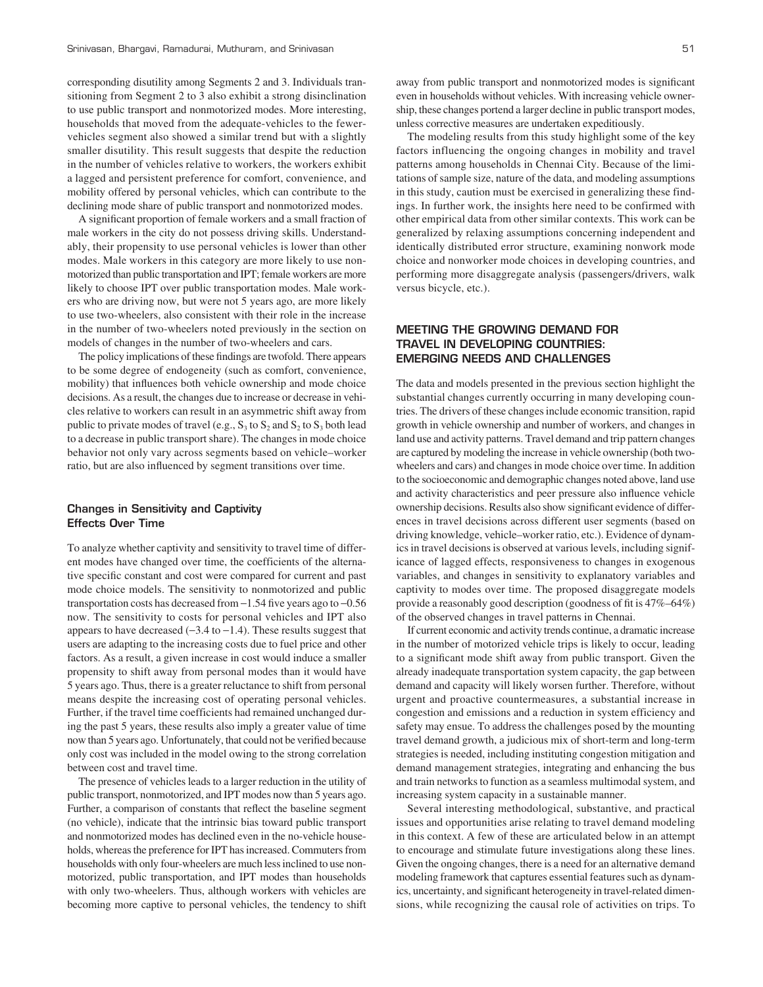corresponding disutility among Segments 2 and 3. Individuals transitioning from Segment 2 to 3 also exhibit a strong disinclination to use public transport and nonmotorized modes. More interesting, households that moved from the adequate-vehicles to the fewervehicles segment also showed a similar trend but with a slightly smaller disutility. This result suggests that despite the reduction in the number of vehicles relative to workers, the workers exhibit a lagged and persistent preference for comfort, convenience, and mobility offered by personal vehicles, which can contribute to the declining mode share of public transport and nonmotorized modes.

A significant proportion of female workers and a small fraction of male workers in the city do not possess driving skills. Understandably, their propensity to use personal vehicles is lower than other modes. Male workers in this category are more likely to use nonmotorized than public transportation and IPT; female workers are more likely to choose IPT over public transportation modes. Male workers who are driving now, but were not 5 years ago, are more likely to use two-wheelers, also consistent with their role in the increase in the number of two-wheelers noted previously in the section on models of changes in the number of two-wheelers and cars.

The policy implications of these findings are twofold. There appears to be some degree of endogeneity (such as comfort, convenience, mobility) that influences both vehicle ownership and mode choice decisions. As a result, the changes due to increase or decrease in vehicles relative to workers can result in an asymmetric shift away from public to private modes of travel (e.g.,  $S_3$  to  $S_2$  and  $S_2$  to  $S_3$  both lead to a decrease in public transport share). The changes in mode choice behavior not only vary across segments based on vehicle–worker ratio, but are also influenced by segment transitions over time.

## Changes in Sensitivity and Captivity Effects Over Time

To analyze whether captivity and sensitivity to travel time of different modes have changed over time, the coefficients of the alternative specific constant and cost were compared for current and past mode choice models. The sensitivity to nonmotorized and public transportation costs has decreased from −1.54 five years ago to −0.56 now. The sensitivity to costs for personal vehicles and IPT also appears to have decreased (−3.4 to −1.4). These results suggest that users are adapting to the increasing costs due to fuel price and other factors. As a result, a given increase in cost would induce a smaller propensity to shift away from personal modes than it would have 5 years ago. Thus, there is a greater reluctance to shift from personal means despite the increasing cost of operating personal vehicles. Further, if the travel time coefficients had remained unchanged during the past 5 years, these results also imply a greater value of time now than 5 years ago. Unfortunately, that could not be verified because only cost was included in the model owing to the strong correlation between cost and travel time.

The presence of vehicles leads to a larger reduction in the utility of public transport, nonmotorized, and IPT modes now than 5 years ago. Further, a comparison of constants that reflect the baseline segment (no vehicle), indicate that the intrinsic bias toward public transport and nonmotorized modes has declined even in the no-vehicle households, whereas the preference for IPT has increased. Commuters from households with only four-wheelers are much less inclined to use nonmotorized, public transportation, and IPT modes than households with only two-wheelers. Thus, although workers with vehicles are becoming more captive to personal vehicles, the tendency to shift

The modeling results from this study highlight some of the key factors influencing the ongoing changes in mobility and travel patterns among households in Chennai City. Because of the limitations of sample size, nature of the data, and modeling assumptions in this study, caution must be exercised in generalizing these findings. In further work, the insights here need to be confirmed with other empirical data from other similar contexts. This work can be generalized by relaxing assumptions concerning independent and identically distributed error structure, examining nonwork mode choice and nonworker mode choices in developing countries, and performing more disaggregate analysis (passengers/drivers, walk versus bicycle, etc.).

# MEETING THE GROWING DEMAND FOR TRAVEL IN DEVELOPING COUNTRIES: EMERGING NEEDS AND CHALLENGES

The data and models presented in the previous section highlight the substantial changes currently occurring in many developing countries. The drivers of these changes include economic transition, rapid growth in vehicle ownership and number of workers, and changes in land use and activity patterns. Travel demand and trip pattern changes are captured by modeling the increase in vehicle ownership (both twowheelers and cars) and changes in mode choice over time. In addition to the socioeconomic and demographic changes noted above, land use and activity characteristics and peer pressure also influence vehicle ownership decisions. Results also show significant evidence of differences in travel decisions across different user segments (based on driving knowledge, vehicle–worker ratio, etc.). Evidence of dynamics in travel decisions is observed at various levels, including significance of lagged effects, responsiveness to changes in exogenous variables, and changes in sensitivity to explanatory variables and captivity to modes over time. The proposed disaggregate models provide a reasonably good description (goodness of fit is 47%–64%) of the observed changes in travel patterns in Chennai.

If current economic and activity trends continue, a dramatic increase in the number of motorized vehicle trips is likely to occur, leading to a significant mode shift away from public transport. Given the already inadequate transportation system capacity, the gap between demand and capacity will likely worsen further. Therefore, without urgent and proactive countermeasures, a substantial increase in congestion and emissions and a reduction in system efficiency and safety may ensue. To address the challenges posed by the mounting travel demand growth, a judicious mix of short-term and long-term strategies is needed, including instituting congestion mitigation and demand management strategies, integrating and enhancing the bus and train networks to function as a seamless multimodal system, and increasing system capacity in a sustainable manner.

Several interesting methodological, substantive, and practical issues and opportunities arise relating to travel demand modeling in this context. A few of these are articulated below in an attempt to encourage and stimulate future investigations along these lines. Given the ongoing changes, there is a need for an alternative demand modeling framework that captures essential features such as dynamics, uncertainty, and significant heterogeneity in travel-related dimensions, while recognizing the causal role of activities on trips. To